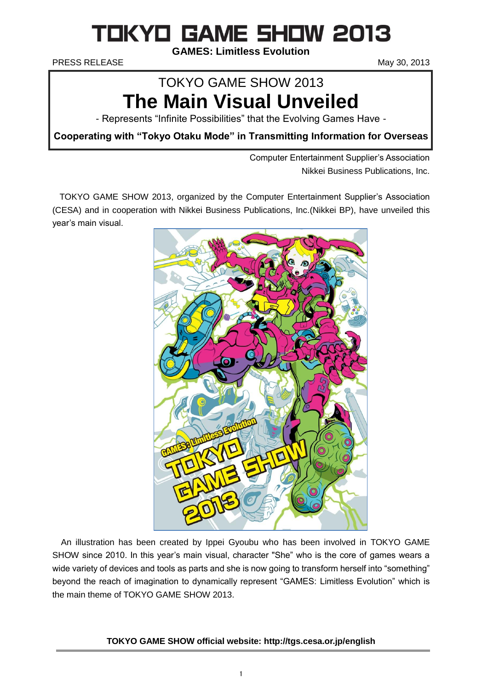# **TOKYO GAME 5HOW 2013**

**GAMES: Limitless Evolution**

PRESS RELEASE May 30, 2013

## TOKYO GAME SHOW 2013 **The Main Visual Unveiled**

- Represents "Infinite Possibilities" that the Evolving Games Have -

**Cooperating with "Tokyo Otaku Mode" in Transmitting Information for Overseas**

Computer Entertainment Supplier's Association Nikkei Business Publications, Inc.

TOKYO GAME SHOW 2013, organized by the Computer Entertainment Supplier's Association (CESA) and in cooperation with Nikkei Business Publications, Inc.(Nikkei BP), have unveiled this year's main visual.



An illustration has been created by Ippei Gyoubu who has been involved in TOKYO GAME SHOW since 2010. In this year's main visual, character "She" who is the core of games wears a wide variety of devices and tools as parts and she is now going to transform herself into "something" beyond the reach of imagination to dynamically represent "GAMES: Limitless Evolution" which is the main theme of TOKYO GAME SHOW 2013.

## **TOKYO GAME SHOW official website: http://tgs.cesa.or.jp/english**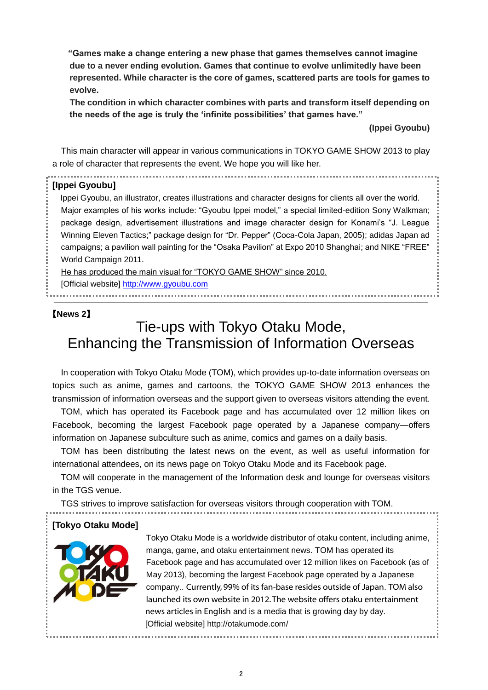**"Games make a change entering a new phase that games themselves cannot imagine due to a never ending evolution. Games that continue to evolve unlimitedly have been represented. While character is the core of games, scattered parts are tools for games to evolve.** 

**The condition in which character combines with parts and transform itself depending on the needs of the age is truly the 'infinite possibilities' that games have."**

**(Ippei Gyoubu)**

This main character will appear in various communications in TOKYO GAME SHOW 2013 to play a role of character that represents the event. We hope you will like her.

#### **[Ippei Gyoubu]**

Ippei Gyoubu, an illustrator, creates illustrations and character designs for clients all over the world. Major examples of his works include: "Gyoubu Ippei model," a special limited-edition Sony Walkman; package design, advertisement illustrations and image character design for Konami's "J. League Winning Eleven Tactics;" package design for "Dr. Pepper" (Coca-Cola Japan, 2005); adidas Japan ad campaigns; a pavilion wall painting for the "Osaka Pavilion" at Expo 2010 Shanghai; and NIKE "FREE" World Campaign 2011.

He has produced the main visual for "TOKYO GAME SHOW" since 2010.

[Official website] [http://www.gyoubu.com](http://www.gyoubu.com/)

## 【**News 2**】

## Tie-ups with Tokyo Otaku Mode, Enhancing the Transmission of Information Overseas

In cooperation with Tokyo Otaku Mode (TOM), which provides up-to-date information overseas on topics such as anime, games and cartoons, the TOKYO GAME SHOW 2013 enhances the transmission of information overseas and the support given to overseas visitors attending the event.

TOM, which has operated its Facebook page and has accumulated over 12 million likes on Facebook, becoming the largest Facebook page operated by a Japanese company—offers information on Japanese subculture such as anime, comics and games on a daily basis.

TOM has been distributing the latest news on the event, as well as useful information for international attendees, on its news page on Tokyo Otaku Mode and its Facebook page.

TOM will cooperate in the management of the Information desk and lounge for overseas visitors in the TGS venue.

TGS strives to improve satisfaction for overseas visitors through cooperation with TOM.

#### **[Tokyo Otaku Mode]**



Tokyo Otaku Mode is a worldwide distributor of otaku content, including anime, manga, game, and otaku entertainment news. TOM has operated its Facebook page and has accumulated over 12 million likes on Facebook (as of May 2013), becoming the largest Facebook page operated by a Japanese company.. Currently, 99% of its fan-base resides outside of Japan. TOM also launched its own website in 2012. The website offers otaku entertainment news articles in English and is a media that is growing day by day. [Official website] http://otakumode.com/